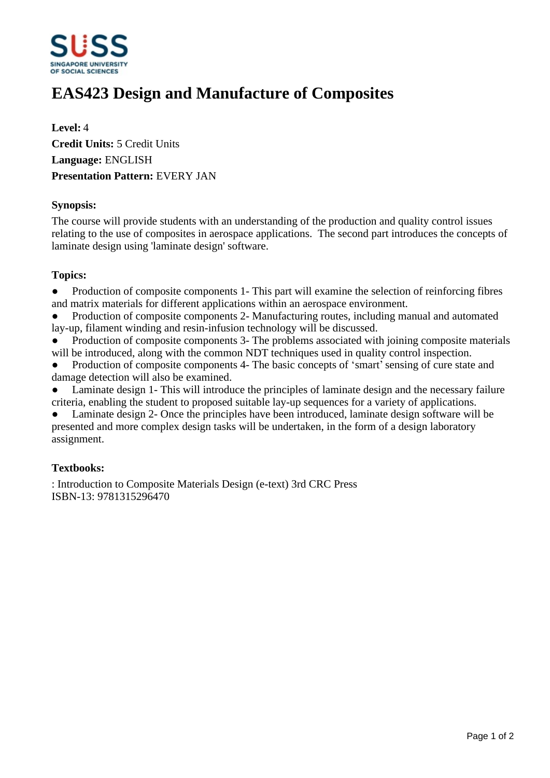

# **EAS423 Design and Manufacture of Composites**

**Level:** 4 **Credit Units:** 5 Credit Units **Language:** ENGLISH **Presentation Pattern:** EVERY JAN

## **Synopsis:**

The course will provide students with an understanding of the production and quality control issues relating to the use of composites in aerospace applications. The second part introduces the concepts of laminate design using 'laminate design' software.

## **Topics:**

• Production of composite components 1- This part will examine the selection of reinforcing fibres and matrix materials for different applications within an aerospace environment.

Production of composite components 2- Manufacturing routes, including manual and automated lay-up, filament winding and resin-infusion technology will be discussed.

Production of composite components 3- The problems associated with joining composite materials will be introduced, along with the common NDT techniques used in quality control inspection.

• Production of composite components 4- The basic concepts of 'smart' sensing of cure state and damage detection will also be examined.

Laminate design 1- This will introduce the principles of laminate design and the necessary failure criteria, enabling the student to proposed suitable lay-up sequences for a variety of applications.

Laminate design 2- Once the principles have been introduced, laminate design software will be presented and more complex design tasks will be undertaken, in the form of a design laboratory assignment.

## **Textbooks:**

: Introduction to Composite Materials Design (e-text) 3rd CRC Press ISBN-13: 9781315296470